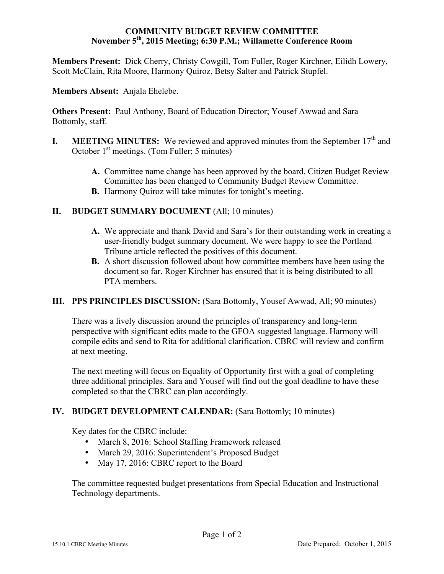### **COMMUNITY BUDGET REVIEW COMMITTEE November 5th, 2015 Meeting; 6:30 P.M.; Willamette Conference Room**

**Members Present:** Dick Cherry, Christy Cowgill, Tom Fuller, Roger Kirchner, Eilidh Lowery, Scott McClain, Rita Moore, Harmony Quiroz, Betsy Salter and Patrick Stupfel.

**Members Absent:** Anjala Ehelebe.

**Others Present:** Paul Anthony, Board of Education Director; Yousef Awwad and Sara Bottomly, staff.

- **I. MEETING MINUTES:** We reviewed and approved minutes from the September  $17<sup>th</sup>$  and October  $1<sup>st</sup>$  meetings. (Tom Fuller; 5 minutes)
	- **A.** Committee name change has been approved by the board. Citizen Budget Review Committee has been changed to Community Budget Review Committee.
	- **B.** Harmony Quiroz will take minutes for tonight's meeting.

# **II. BUDGET SUMMARY DOCUMENT** (All; 10 minutes)

- **A.** We appreciate and thank David and Sara's for their outstanding work in creating a user-friendly budget summary document. We were happy to see the Portland Tribune article reflected the positives of this document.
- **B.** A short discussion followed about how committee members have been using the document so far. Roger Kirchner has ensured that it is being distributed to all PTA members.

# **III. PPS PRINCIPLES DISCUSSION:** (Sara Bottomly, Yousef Awwad, All; 90 minutes)

There was a lively discussion around the principles of transparency and long-term perspective with significant edits made to the GFOA suggested language. Harmony will compile edits and send to Rita for additional clarification. CBRC will review and confirm at next meeting.

The next meeting will focus on Equality of Opportunity first with a goal of completing three additional principles. Sara and Yousef will find out the goal deadline to have these completed so that the CBRC can plan accordingly.

# **IV. BUDGET DEVELOPMENT CALENDAR: (Sara Bottomly; 10 minutes)**

Key dates for the CBRC include:

- March 8, 2016: School Staffing Framework released
- March 29, 2016: Superintendent's Proposed Budget
- May 17, 2016: CBRC report to the Board

The committee requested budget presentations from Special Education and Instructional Technology departments.